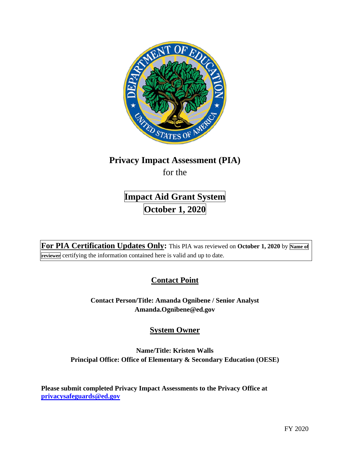

# **Privacy Impact Assessment (PIA)**

for the

# **Impact Aid Grant System October 1, 2020**

For PIA Certification Updates Only: This PIA was reviewed on October 1, 2020 by Name of **reviewer** certifying the information contained here is valid and up to date.

# **Contact Point**

**Contact Person/Title: Amanda Ognibene / Senior Analyst [Amanda.Ognibene@ed.gov](mailto:Amanda.Ognibene@ed.gov)** 

# **System Owner**

### **Name/Title: Kristen Walls Principal Office: Office of Elementary & Secondary Education (OESE)**

**Please submit completed Privacy Impact Assessments to the Privacy Office at [privacysafeguards@ed.gov](mailto:privacysafeguards@ed.gov)**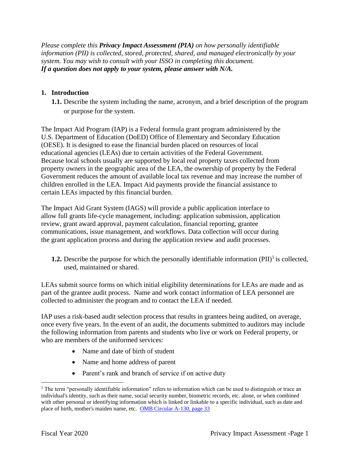*Please complete this Privacy Impact Assessment (PIA) on how personally identifiable information (PII) is collected, stored, protected, shared, and managed electronically by your system. You may wish to consult with your ISSO in completing this document. If a question does not apply to your system, please answer with N/A.* 

#### **1. Introduction**

**1.1.** Describe the system including the name, acronym, and a brief description of the program or purpose for the system.

The Impact Aid Program (IAP) is a Federal formula grant program administered by the U.S. Department of Education (DoED) Office of Elementary and Secondary Education (OESE). It is designed to ease the financial burden placed on resources of local educational agencies (LEAs) due to certain activities of the Federal Government. Because local schools usually are supported by local real property taxes collected from property owners in the geographic area of the LEA, the ownership of property by the Federal Government reduces the amount of available local tax revenue and may increase the number of children enrolled in the LEA. Impact Aid payments provide the financial assistance to certain LEAs impacted by this financial burden.

The Impact Aid Grant System (IAGS) will provide a public application interface to allow full grants life-cycle management, including: application submission, application review, grant award approval, payment calculation, financial reporting, grantee communications, issue management, and workflows. Data collection will occur during the grant application process and during the application review and audit processes.

**1.2.** Describe the purpose for which the personally identifiable information  $(PII)^{1}$  is collected, used, maintained or shared.

LEAs submit source forms on which initial eligibility determinations for LEAs are made and as part of the grantee audit process. Name and work contact information of LEA personnel are collected to administer the program and to contact the LEA if needed.

IAP uses a risk-based audit selection process that results in grantees being audited, on average, once every five years. In the event of an audit, the documents submitted to auditors may include the following information from parents and students who live or work on Federal property, or who are members of the uniformed services:

- Name and date of birth of student
- Name and home address of parent
- Parent's rank and branch of service if on active duty

 $1$  The term "personally identifiable information" refers to information which can be used to distinguish or trace an individual's identity, such as their name, social security number, biometric records, etc. alone, or when combined with other personal or identifying information which is linked or linkable to a specific individual, such as date and place of birth, mother's maiden name, etc. OMB Circular A-130, page 33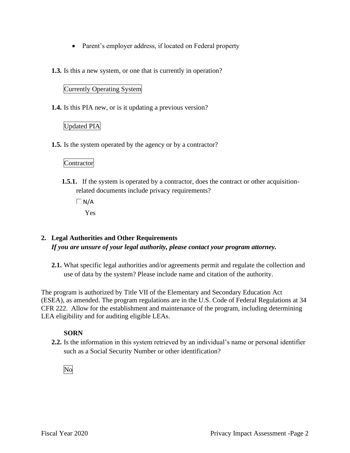- Parent's employer address, if located on Federal property
- **1.3.** Is this a new system, or one that is currently in operation?

#### Currently Operating System

**1.4.** Is this PIA new, or is it updating a previous version?

#### Updated PIA

**1.5.** Is the system operated by the agency or by a contractor?

#### Contractor

**1.5.1.** If the system is operated by a contractor, does the contract or other acquisitionrelated documents include privacy requirements?

 $\Box N/A$ 

Yes

### **2. Legal Authorities and Other Requirements**  *If you are unsure of your legal authority, please contact your program attorney.*

**2.1.** What specific legal authorities and/or agreements permit and regulate the collection and use of data by the system? Please include name and citation of the authority.

 CFR 222. Allow for the establishment and maintenance of the program, including determining The program is authorized by Title VII of the Elementary and Secondary Education Act (ESEA), as amended. The program regulations are in the U.S. Code of Federal Regulations at 34 LEA eligibility and for auditing eligible LEAs.

#### **SORN**

**2.2.** Is the information in this system retrieved by an individual's name or personal identifier such as a Social Security Number or other identification?

No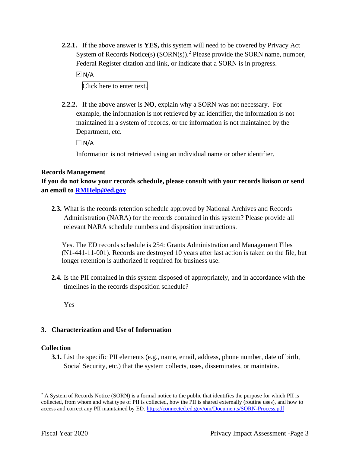**2.2.1.** If the above answer is **YES,** this system will need to be covered by Privacy Act System of Records Notice(s)  $(SORN(s))$ .<sup>2</sup> Please provide the SORN name, number, Federal Register citation and link, or indicate that a SORN is in progress.

N/A Click here to enter text.

Department, etc.

**2.2.2.** If the above answer is **NO**, explain why a SORN was not necessary. For example, the information is not retrieved by an identifier, the information is not maintained in a system of records, or the information is not maintained by the

 $\Box$ N/A

Information is not retrieved using an individual name or other identifier.

#### **Records Management**

**If you do not know your records schedule, please consult with your records liaison or send an email to [RMHelp@ed.gov](mailto:RMHelp@ed.gov)** 

**2.3.** What is the records retention schedule approved by National Archives and Records Administration (NARA) for the records contained in this system? Please provide all relevant NARA schedule numbers and disposition instructions.

Yes. The ED records schedule is 254: Grants Administration and Management Files (N1-441-11-001). Records are destroyed 10 years after last action is taken on the file, but longer retention is authorized if required for business use.

**2.4.** Is the PII contained in this system disposed of appropriately, and in accordance with the timelines in the records disposition schedule?

Yes

#### **3. Characterization and Use of Information**

#### **Collection**

**3.1.** List the specific PII elements (e.g., name, email, address, phone number, date of birth, Social Security, etc.) that the system collects, uses, disseminates, or maintains.

 $2 A$  System of Records Notice (SORN) is a formal notice to the public that identifies the purpose for which PII is collected, from whom and what type of PII is collected, how the PII is shared externally (routine uses), and how to access and correct any PII maintained by ED. https://connected.ed.gov/om/Documents/SORN-Process.pdf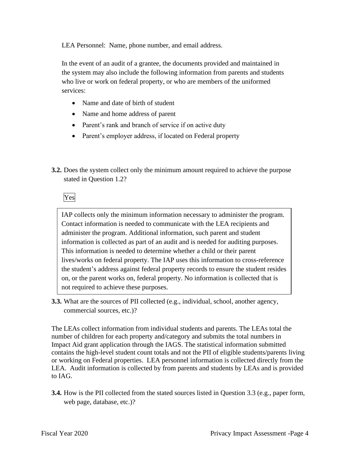LEA Personnel: Name, phone number, and email address.

 services: In the event of an audit of a grantee, the documents provided and maintained in the system may also include the following information from parents and students who live or work on federal property, or who are members of the uniformed

- Name and date of birth of student
- Name and home address of parent
- Parent's rank and branch of service if on active duty
- Parent's employer address, if located on Federal property
- **3.2.** Does the system collect only the minimum amount required to achieve the purpose stated in Question 1.2?

Yes

IAP collects only the minimum information necessary to administer the program. Contact information is needed to communicate with the LEA recipients and administer the program. Additional information, such parent and student information is collected as part of an audit and is needed for auditing purposes. This information is needed to determine whether a child or their parent lives/works on federal property. The IAP uses this information to cross-reference the student's address against federal property records to ensure the student resides on, or the parent works on, federal property. No information is collected that is not required to achieve these purposes.

**3.3.** What are the sources of PII collected (e.g., individual, school, another agency, commercial sources, etc.)?

 or working on Federal properties. LEA personnel information is collected directly from the The LEAs collect information from individual students and parents. The LEAs total the number of children for each property and/category and submits the total numbers in Impact Aid grant application through the IAGS. The statistical information submitted contains the high-level student count totals and not the PII of eligible students/parents living LEA. Audit information is collected by from parents and students by LEAs and is provided to IAG.

**3.4.** How is the PII collected from the stated sources listed in Question 3.3 (e.g., paper form, web page, database, etc.)?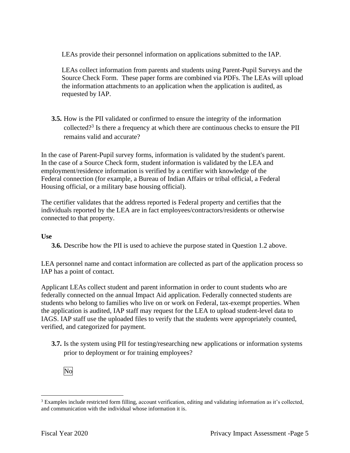LEAs provide their personnel information on applications submitted to the IAP.

 Source Check Form. These paper forms are combined via PDFs. The LEAs will upload LEAs collect information from parents and students using Parent-Pupil Surveys and the the information attachments to an application when the application is audited, as requested by IAP.

collected?<sup>3</sup> Is there a frequency at which there are continuous checks to ensure the PII **3.5.** How is the PII validated or confirmed to ensure the integrity of the information remains valid and accurate?

In the case of Parent-Pupil survey forms, information is validated by the student's parent. In the case of a Source Check form, student information is validated by the LEA and employment/residence information is verified by a certifier with knowledge of the Federal connection (for example, a Bureau of Indian Affairs or tribal official, a Federal Housing official, or a military base housing official).

The certifier validates that the address reported is Federal property and certifies that the individuals reported by the LEA are in fact employees/contractors/residents or otherwise connected to that property.

#### **Use**

**3.6.** Describe how the PII is used to achieve the purpose stated in Question 1.2 above.

LEA personnel name and contact information are collected as part of the application process so IAP has a point of contact.

Applicant LEAs collect student and parent information in order to count students who are federally connected on the annual Impact Aid application. Federally connected students are students who belong to families who live on or work on Federal, tax-exempt properties. When the application is audited, IAP staff may request for the LEA to upload student-level data to IAGS. IAP staff use the uploaded files to verify that the students were appropriately counted, verified, and categorized for payment.

**3.7.** Is the system using PII for testing/researching new applications or information systems prior to deployment or for training employees?



 $3$  Examples include restricted form filling, account verification, editing and validating information as it's collected, and communication with the individual whose information it is.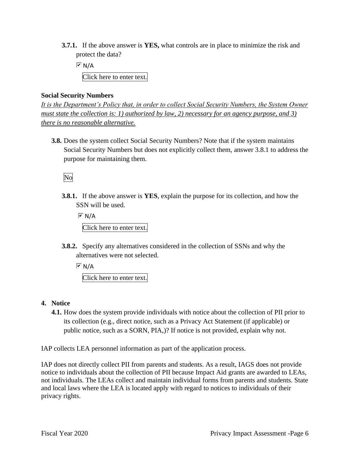**3.7.1.** If the above answer is **YES,** what controls are in place to minimize the risk and protect the data?

 $\overline{\triangleright}$  N/A Click here to enter text.

#### **Social Security Numbers**

*It is the Department's Policy that, in order to collect Social Security Numbers, the System Owner must state the collection is: 1) authorized by law, 2) necessary for an agency purpose, and 3) there is no reasonable alternative.* 

**3.8.** Does the system collect Social Security Numbers? Note that if the system maintains Social Security Numbers but does not explicitly collect them, answer 3.8.1 to address the purpose for maintaining them.

### No

**3.8.1.** If the above answer is **YES**, explain the purpose for its collection, and how the SSN will be used.

 $\overline{V}$  N/A Click here to enter text.

**3.8.2.** Specify any alternatives considered in the collection of SSNs and why the alternatives were not selected.

 $\overline{M}$  N/A Click here to enter text.

- **4. Notice** 
	- **4.1.** How does the system provide individuals with notice about the collection of PII prior to its collection (e.g., direct notice, such as a Privacy Act Statement (if applicable) or public notice, such as a SORN, PIA,)? If notice is not provided, explain why not.

IAP collects LEA personnel information as part of the application process.

IAP does not directly collect PII from parents and students. As a result, IAGS does not provide notice to individuals about the collection of PII because Impact Aid grants are awarded to LEAs, not individuals. The LEAs collect and maintain individual forms from parents and students. State and local laws where the LEA is located apply with regard to notices to individuals of their privacy rights.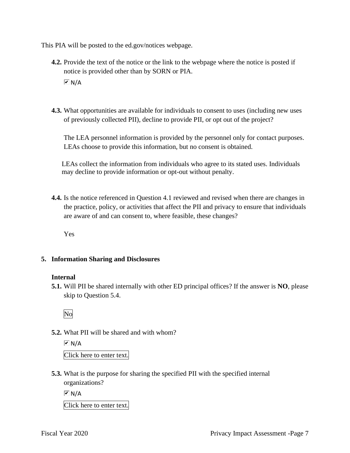This PIA will be posted to the [ed.gov/notices](https://ed.gov/notices) webpage.

- **4.2.** Provide the text of the notice or the link to the webpage where the notice is posted if notice is provided other than by SORN or PIA.  $\overline{M}$  N/A
- **4.3.** What opportunities are available for individuals to consent to uses (including new uses of previously collected PII), decline to provide PII, or opt out of the project?

LEAs choose to provide this information, but no consent is obtained. The LEA personnel information is provided by the personnel only for contact purposes.

LEAs collect the information from individuals who agree to its stated uses. Individuals may decline to provide information or opt-out without penalty.

**4.4.** Is the notice referenced in Question 4.1 reviewed and revised when there are changes in the practice, policy, or activities that affect the PII and privacy to ensure that individuals are aware of and can consent to, where feasible, these changes?

Yes

#### **5. Information Sharing and Disclosures**

#### **Internal**

**5.1.** Will PII be shared internally with other ED principal offices? If the answer is **NO**, please skip to Question 5.4.

No

**5.2.** What PII will be shared and with whom?

 $\overline{M}$  N/A Click here to enter text.

**5.3.** What is the purpose for sharing the specified PII with the specified internal organizations?

 $\overline{M}$  N/A

Click here to enter text.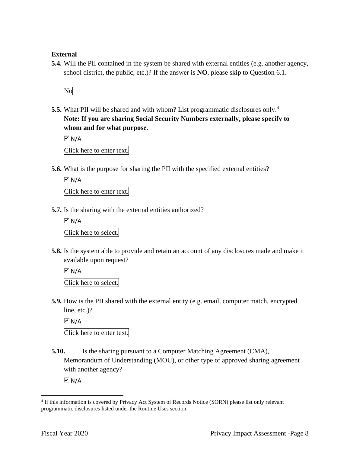#### **External**

**5.4.** Will the PII contained in the system be shared with external entities (e.g. another agency, school district, the public, etc.)? If the answer is **NO**, please skip to Question 6.1.

No

**5.5.** What PII will be shared and with whom? List programmatic disclosures only.<sup>4</sup> **Note: If you are sharing Social Security Numbers externally, please specify to whom and for what purpose**.

 $\boxed{\mathsf{M}}$  N/A

Click here to enter text.

**5.6.** What is the purpose for sharing the PII with the specified external entities?

 $\overline{V}$  N/A

Click here to enter text.

**5.7.** Is the sharing with the external entities authorized?

 $\overline{M}$  N/A Click here to select.

**5.8.** Is the system able to provide and retain an account of any disclosures made and make it available upon request?

 $\overline{M}$  N/A

Click here to select.

**5.9.** How is the PII shared with the external entity (e.g. email, computer match, encrypted line, etc.)?

 $\boxed{\mathsf{M}}$  N/A

Click here to enter text.

**5.10.** Is the sharing pursuant to a Computer Matching Agreement (CMA), Memorandum of Understanding (MOU), or other type of approved sharing agreement with another agency?

 $\sqrt{M}$  N/A

 4 If this information is covered by Privacy Act System of Records Notice (SORN) please list only relevant programmatic disclosures listed under the Routine Uses section.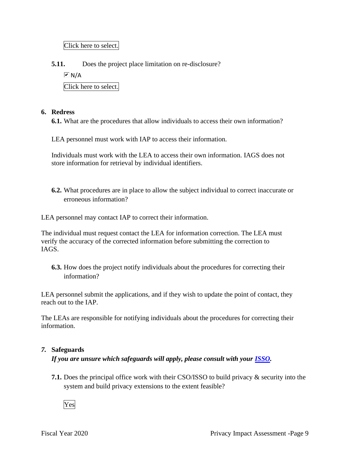Click here to select.

**5.11.** Does the project place limitation on re-disclosure?

 $\boxed{\mathsf{M}}$  N/A

Click here to select.

#### **6. Redress**

**6.1.** What are the procedures that allow individuals to access their own information?

LEA personnel must work with IAP to access their information.

Individuals must work with the LEA to access their own information. IAGS does not store information for retrieval by individual identifiers.

**6.2.** What procedures are in place to allow the subject individual to correct inaccurate or erroneous information?

LEA personnel may contact IAP to correct their information.

The individual must request contact the LEA for information correction. The LEA must verify the accuracy of the corrected information before submitting the correction to IAGS.

**6.3.** How does the project notify individuals about the procedures for correcting their information?

LEA personnel submit the applications, and if they wish to update the point of contact, they reach out to the IAP.

The LEAs are responsible for notifying individuals about the procedures for correcting their information.

#### *7.* **Safeguards**

*If you are unsure which safeguards will apply, please consult with your ISSO.* 

**7.1.** Does the principal office work with their CSO/ISSO to build privacy & security into the system and build privacy extensions to the extent feasible?

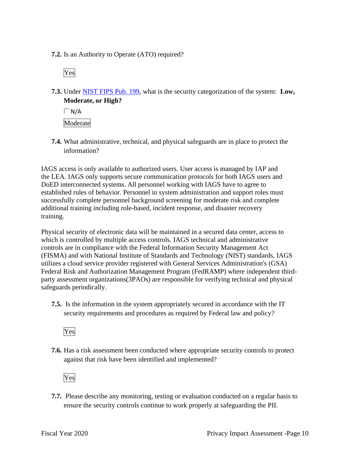**7.2.** Is an Authority to Operate (ATO) required?

Yes

 **7.3.** Under NIST FIPS Pub. 199, what is the security categorization of the system: **Low, Moderate, or High?** 

 $\Box$ N/A Moderate

**7.4.** What administrative, technical, and physical safeguards are in place to protect the information?

IAGS access is only available to authorized users. User access is managed by IAP and the LEA. IAGS only supports secure communication protocols for both IAGS users and DoED interconnected systems. All personnel working with IAGS have to agree to established rules of behavior. Personnel in system administration and support roles must successfully complete personnel background screening for moderate risk and complete additional training including role-based, incident response, and disaster recovery training.

Physical security of electronic data will be maintained in a secured data center, access to which is controlled by multiple access controls. IAGS technical and administrative controls are in compliance with the Federal Information Security Management Act (FISMA) and with National Institute of Standards and Technology (NIST) standards. IAGS utilizes a cloud service provider registered with General Services Administration's (GSA) Federal Risk and Authorization Management Program (FedRAMP) where independent thirdparty assessment organizations(3PAOs) are responsible for verifying technical and physical safeguards periodically.

**7.5.** Is the information in the system appropriately secured in accordance with the IT security requirements and procedures as required by Federal law and policy?

Yes

**7.6.** Has a risk assessment been conducted where appropriate security controls to protect against that risk have been identified and implemented?

Yes

**7.7.** Please describe any monitoring, testing or evaluation conducted on a regular basis to ensure the security controls continue to work properly at safeguarding the PII.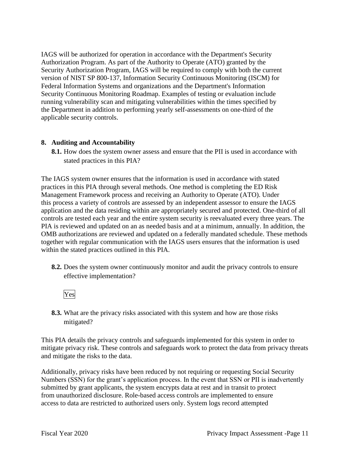IAGS will be authorized for operation in accordance with the Department's Security Authorization Program. As part of the Authority to Operate (ATO) granted by the Security Authorization Program, IAGS will be required to comply with both the current version of NIST SP 800-137, Information Security Continuous Monitoring (ISCM) for Federal Information Systems and organizations and the Department's Information Security Continuous Monitoring Roadmap. Examples of testing or evaluation include running vulnerability scan and mitigating vulnerabilities within the times specified by the Department in addition to performing yearly self-assessments on one-third of the applicable security controls.

#### **8. Auditing and Accountability**

**8.1.** How does the system owner assess and ensure that the PII is used in accordance with stated practices in this PIA?

The IAGS system owner ensures that the information is used in accordance with stated practices in this PIA through several methods. One method is completing the ED Risk Management Framework process and receiving an Authority to Operate (ATO). Under this process a variety of controls are assessed by an independent assessor to ensure the IAGS application and the data residing within are appropriately secured and protected. One-third of all controls are tested each year and the entire system security is reevaluated every three years. The PIA is reviewed and updated on an as needed basis and at a minimum, annually. In addition, the OMB authorizations are reviewed and updated on a federally mandated schedule. These methods together with regular communication with the IAGS users ensures that the information is used within the stated practices outlined in this PIA.

- **8.2.** Does the system owner continuously monitor and audit the privacy controls to ensure effective implementation?
	- Yes
- **8.3.** What are the privacy risks associated with this system and how are those risks mitigated?

This PIA details the privacy controls and safeguards implemented for this system in order to mitigate privacy risk. These controls and safeguards work to protect the data from privacy threats and mitigate the risks to the data.

Additionally, privacy risks have been reduced by not requiring or requesting Social Security Numbers (SSN) for the grant's application process. In the event that SSN or PII is inadvertently submitted by grant applicants, the system encrypts data at rest and in transit to protect from unauthorized disclosure. Role-based access controls are implemented to ensure access to data are restricted to authorized users only. System logs record attempted